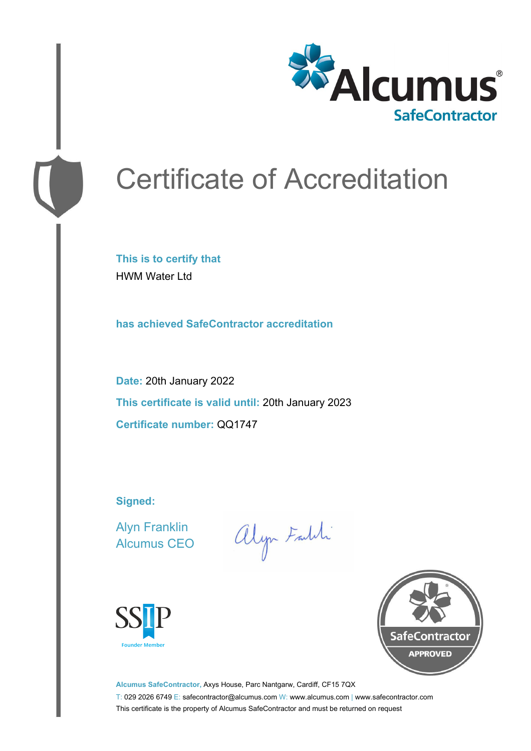

# Certificate of Accreditation

**This is to certify that** HWM Water Ltd

**has achieved SafeContractor accreditation**

**Date:** 20th January 2022 **This certificate is valid until:** 20th January 2023 **Certificate number:** QQ1747

**Signed:**

Alyn Franklin Alcumus CEO

alyn Faith





**Alcumus SafeContractor,** Axys House, Parc Nantgarw, Cardiff, CF15 7QX T: 029 2026 6749 E: safecontractor@alcumus.com W: www.alcumus.com | www.safecontractor.com This certificate is the property of Alcumus SafeContractor and must be returned on request